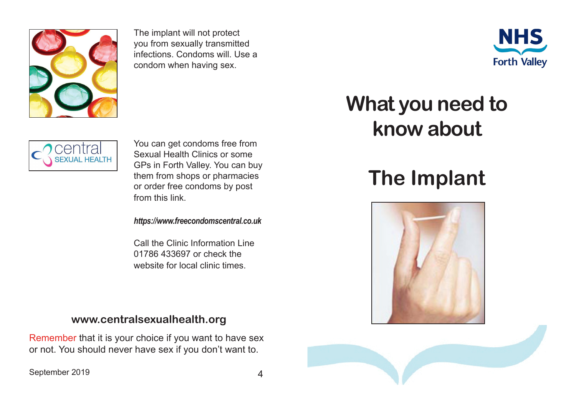

The implant will not protect you from sexually transmitted infections. Condoms will. Use a condom when having sex.



## **EXUAL HEALTH**

You can get condoms free from Sexual Health Clinics or some GPs in Forth Valley. You can buy them from shops or pharmacies or order free condoms by post from this link.

*https://www.freecondomscentral.co.uk*

Call the Clinic Information Line 01786 433697 or check the website for local clinic times.

## **www.centralsexualhealth.org**

Remember that it is your choice if you want to have sex or not. You should never have sex if you don't want to.

September 2019 4

## **What you need to know about**

## **The Implant**